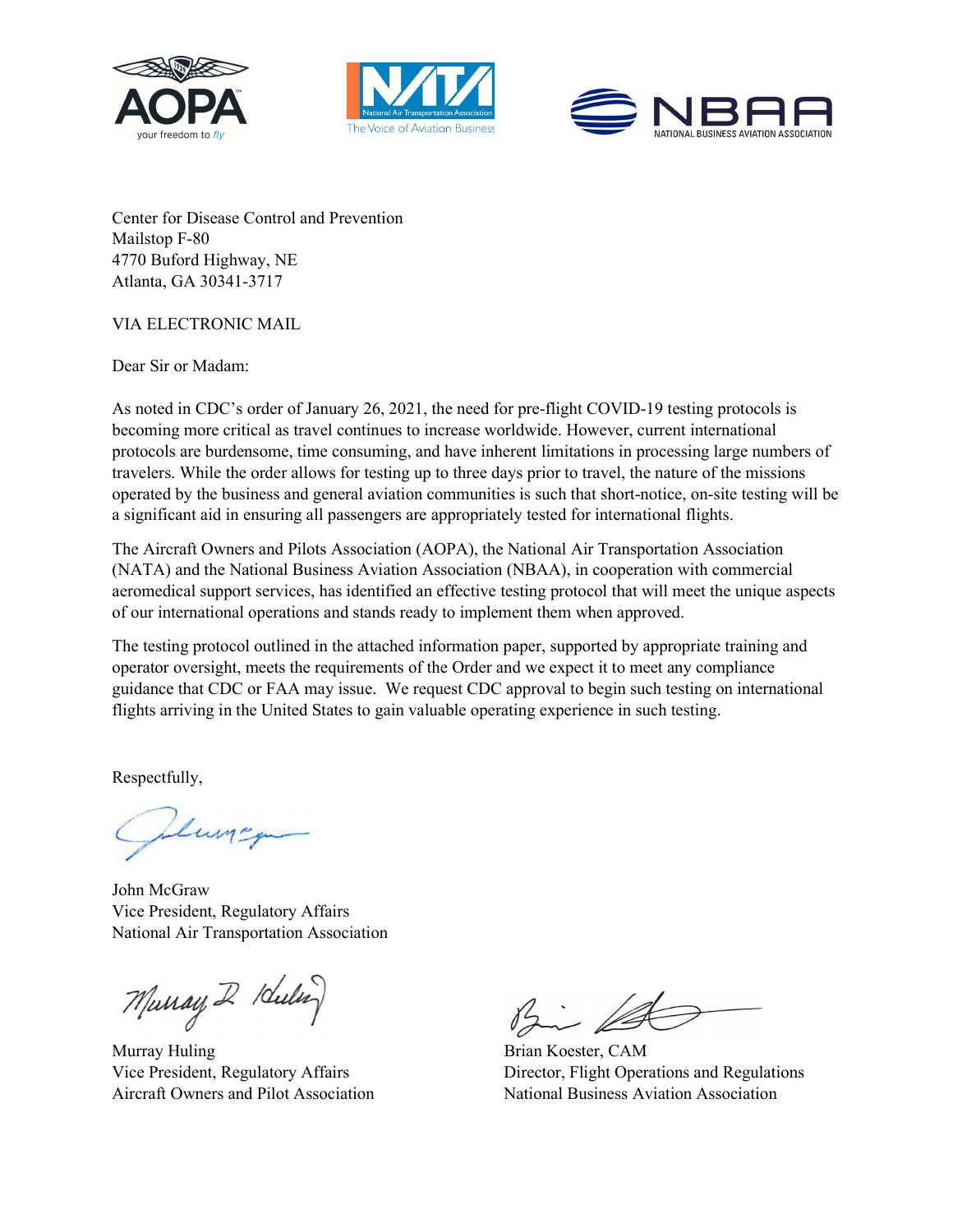





Center for Disease Control and Prevention Mailstop F-80 4770 Buford Highway, NE Atlanta, GA 30341-3717

## VIA ELECTRONIC MAIL

Dear Sir or Madam:

As noted in CDC's order of January 26, 2021, the need for pre-flight COVID-19 testing protocols is becoming more critical as travel continues to increase worldwide. However, current international protocols are burdensome, time consuming, and have inherent limitations in processing large numbers of travelers. While the order allows for testing up to three days prior to travel, the nature of the missions operated by the business and general aviation communities is such that short-notice, on-site testing will be a significant aid in ensuring all passengers are appropriately tested for international flights.

The Aircraft Owners and Pilots Association (AOPA), the National Air Transportation Association (NATA) and the National Business Aviation Association (NBAA), in cooperation with commercial aeromedical support services, has identified an effective testing protocol that will meet the unique aspects of our international operations and stands ready to implement them when approved.

The testing protocol outlined in the attached information paper, supported by appropriate training and operator oversight, meets the requirements of the Order and we expect it to meet any compliance guidance that CDC or FAA may issue. We request CDC approval to begin such testing on international flights arriving in the United States to gain valuable operating experience in such testing.

Respectfully,

Lung

John McGraw Vice President, Regulatory Affairs National Air Transportation Association

Murray 2 Kulin

Murray Huling Brian Koester, CAM

 $\sqrt{2}$ 

Vice President, Regulatory Affairs Director, Flight Operations and Regulations Aircraft Owners and Pilot Association National Business Aviation Association